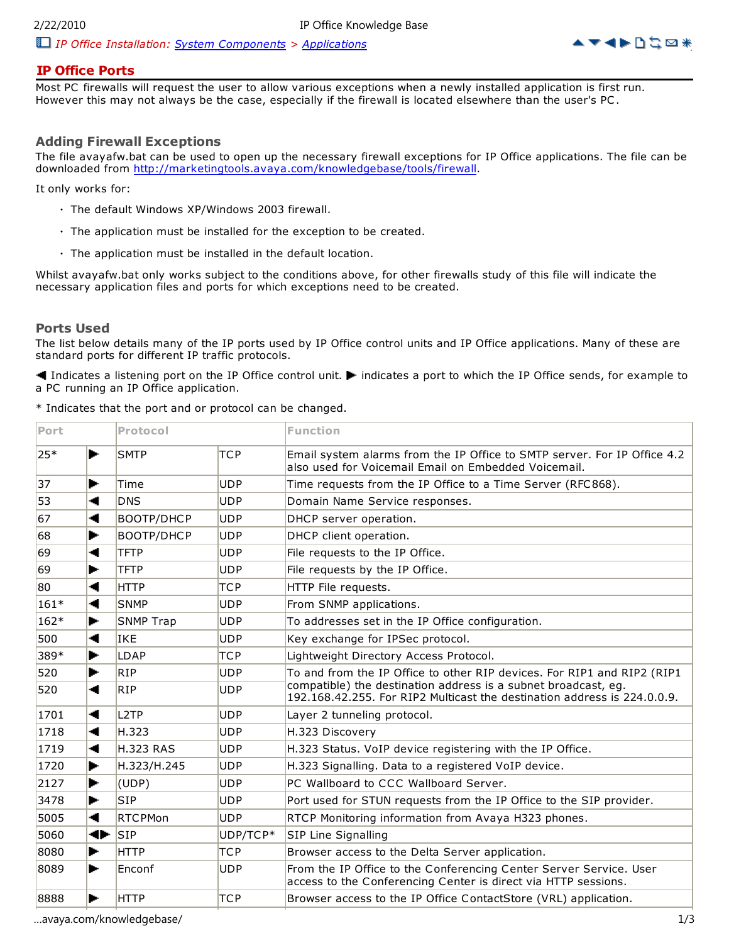

# **IP Office Ports**

Most PC firewalls will request the user to allow various exceptions when a newly installed application is first run. However this may not always be the case, especially if the firewall is located elsewhere than the user's PC .

## **Adding Firewall Exceptions**

The file avayafw.bat can be used to open up the necessary firewall exceptions for IP Office applications. The file can be downloaded from http://marketingtools.avaya.com/knowledgebase/tools/firewall.

It only works for:

- The default Windows XP/Windows 2003 firewall.
- The application must be installed for the exception to be created.
- The application must be installed in the default location.

Whilst avayafw.bat only works subject to the conditions above, for other firewalls study of this file will indicate the necessary application files and ports for which exceptions need to be created.

### **Ports Used**

The list below details many of the IP ports used by IP Office control units and IP Office applications. Many of these are standard ports for different IP traffic protocols.

Indicates a listening port on the IP Office control unit.  $\blacktriangleright$  indicates a port to which the IP Office sends, for example to a PC running an IP Office application.

| * Indicates that the port and or protocol can be changed. |  |  |  |  |
|-----------------------------------------------------------|--|--|--|--|
|                                                           |  |  |  |  |

| Port   |    | Protocol          |            | <b>Function</b>                                                                                                                            |  |
|--------|----|-------------------|------------|--------------------------------------------------------------------------------------------------------------------------------------------|--|
| 25*    | ь. | <b>SMTP</b>       | <b>TCP</b> | Email system alarms from the IP Office to SMTP server. For IP Office 4.2<br>also used for Voicemail Email on Embedded Voicemail.           |  |
| 37     | ь. | Time              | <b>UDP</b> | Time requests from the IP Office to a Time Server (RFC868).                                                                                |  |
| 53     | ۰  | <b>DNS</b>        | <b>UDP</b> | Domain Name Service responses.                                                                                                             |  |
| 67     | -4 | <b>BOOTP/DHCP</b> | <b>UDP</b> | DHCP server operation.                                                                                                                     |  |
| 68     | ь. | <b>BOOTP/DHCP</b> | <b>UDP</b> | DHCP client operation.                                                                                                                     |  |
| 69     | ۰  | <b>TFTP</b>       | <b>UDP</b> | File requests to the IP Office.                                                                                                            |  |
| 69     | ь. | <b>TFTP</b>       | <b>UDP</b> | File requests by the IP Office.                                                                                                            |  |
| 80     | ۰  | <b>HTTP</b>       | <b>TCP</b> | HTTP File requests.                                                                                                                        |  |
| $161*$ | ۰  | <b>SNMP</b>       | <b>UDP</b> | From SNMP applications.                                                                                                                    |  |
| $162*$ | ►  | SNMP Trap         | <b>UDP</b> | To addresses set in the IP Office configuration.                                                                                           |  |
| 500    | ۰  | <b>IKE</b>        | <b>UDP</b> | Key exchange for IPSec protocol.                                                                                                           |  |
| 389*   | ь. | <b>LDAP</b>       | <b>TCP</b> | Lightweight Directory Access Protocol.                                                                                                     |  |
| 520    | ь. | <b>RIP</b>        | <b>UDP</b> | To and from the IP Office to other RIP devices. For RIP1 and RIP2 (RIP1                                                                    |  |
| 520    | ۰  | <b>RIP</b>        | <b>UDP</b> | compatible) the destination address is a subnet broadcast, eg.<br>192.168.42.255. For RIP2 Multicast the destination address is 224.0.0.9. |  |
| 1701   | ◀  | L <sub>2</sub> TP | <b>UDP</b> | Layer 2 tunneling protocol.                                                                                                                |  |
| 1718   | ◀  | H.323             | <b>UDP</b> | H.323 Discovery                                                                                                                            |  |
| 1719   | ◂  | <b>H.323 RAS</b>  | <b>UDP</b> | H.323 Status. VoIP device registering with the IP Office.                                                                                  |  |
| 1720   | ь. | H.323/H.245       | <b>UDP</b> | H.323 Signalling. Data to a registered VoIP device.                                                                                        |  |
| 2127   | ►  | (UDP)             | <b>UDP</b> | PC Wallboard to CCC Wallboard Server.                                                                                                      |  |
| 3478   | Þ. | <b>SIP</b>        | <b>UDP</b> | Port used for STUN requests from the IP Office to the SIP provider.                                                                        |  |
| 5005   | -4 | <b>RTCPMon</b>    | <b>UDP</b> | RTCP Monitoring information from Avaya H323 phones.                                                                                        |  |
| 5060   | ∙  | <b>SIP</b>        | UDP/TCP*   | SIP Line Signalling                                                                                                                        |  |
| 8080   | ь. | <b>HTTP</b>       | <b>TCP</b> | Browser access to the Delta Server application.                                                                                            |  |
| 8089   | Þ. | Enconf            | <b>UDP</b> | From the IP Office to the Conferencing Center Server Service. User<br>access to the Conferencing Center is direct via HTTP sessions.       |  |
| 8888   | Þ. | <b>HTTP</b>       | <b>TCP</b> | Browser access to the IP Office ContactStore (VRL) application.                                                                            |  |

…avaya.com/knowledgebase/ 1/3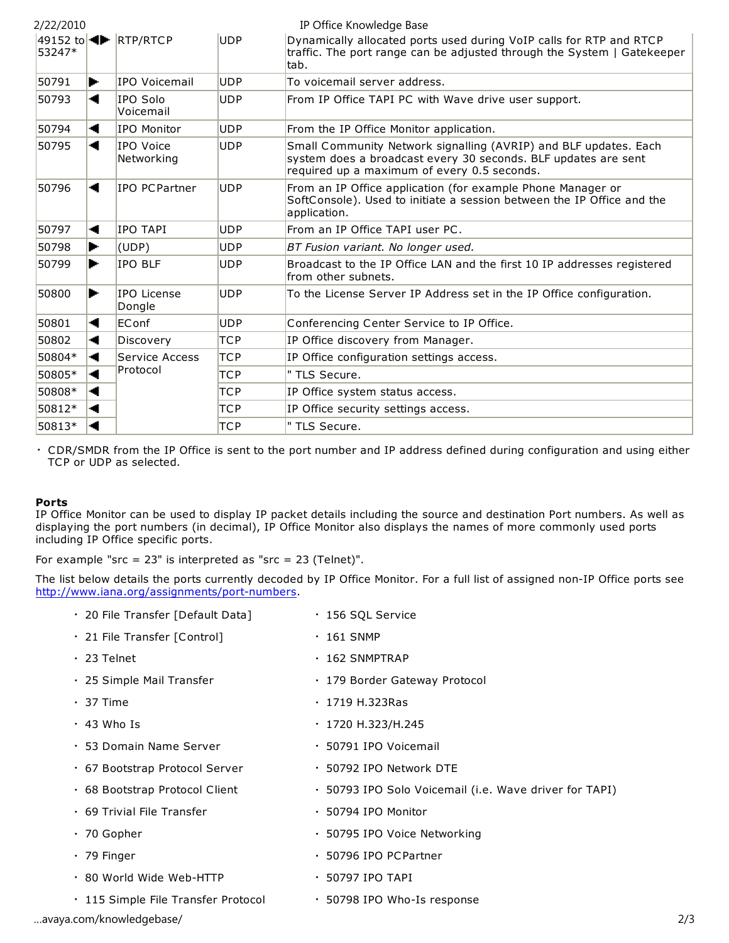| 2/22/2010 |    |                                                           |            | IP Office Knowledge Base                                                                                                                                                          |
|-----------|----|-----------------------------------------------------------|------------|-----------------------------------------------------------------------------------------------------------------------------------------------------------------------------------|
| 53247*    |    | 49152 to $\blacktriangleleft\blacktriangleright$ RTP/RTCP | <b>UDP</b> | Dynamically allocated ports used during VoIP calls for RTP and RTCP<br>traffic. The port range can be adjusted through the System   Gatekeeper<br>tab.                            |
| 50791     | ь. | IPO Voicemail                                             | <b>UDP</b> | To voicemail server address.                                                                                                                                                      |
| 50793     | -4 | IPO Solo<br>Voicemail                                     | <b>UDP</b> | From IP Office TAPI PC with Wave drive user support.                                                                                                                              |
| 50794     |    | <b>IPO Monitor</b>                                        | <b>UDP</b> | From the IP Office Monitor application.                                                                                                                                           |
| 50795     | -4 | IPO Voice<br>Networking                                   | <b>UDP</b> | Small Community Network signalling (AVRIP) and BLF updates. Each<br>system does a broadcast every 30 seconds. BLF updates are sent<br>required up a maximum of every 0.5 seconds. |
| 50796     | -4 | IPO PCPartner                                             | <b>UDP</b> | From an IP Office application (for example Phone Manager or<br>SoftConsole). Used to initiate a session between the IP Office and the<br>application.                             |
| 50797     | -1 | <b>IPO TAPI</b>                                           | <b>UDP</b> | From an IP Office TAPI user PC.                                                                                                                                                   |
| 50798     | ь. | (UDP)                                                     | <b>UDP</b> | BT Fusion variant. No longer used.                                                                                                                                                |
| 50799     | ь. | <b>IPO BLF</b>                                            | <b>UDP</b> | Broadcast to the IP Office LAN and the first 10 IP addresses registered<br>from other subnets.                                                                                    |
| 50800     | ь. | IPO License<br>Dongle                                     | <b>UDP</b> | To the License Server IP Address set in the IP Office configuration.                                                                                                              |
| 50801     | ۰  | EConf                                                     | <b>UDP</b> | Conferencing Center Service to IP Office.                                                                                                                                         |
| 50802     | -4 | Discovery                                                 | TCP        | IP Office discovery from Manager.                                                                                                                                                 |
| 50804*    | ◂  | Service Access                                            | <b>TCP</b> | IP Office configuration settings access.                                                                                                                                          |
| 50805*    | ۰  | Protocol                                                  | <b>TCP</b> | " TLS Secure.                                                                                                                                                                     |
| 50808*    |    |                                                           | <b>TCP</b> | IP Office system status access.                                                                                                                                                   |
| 50812*    |    |                                                           | <b>TCP</b> | IP Office security settings access.                                                                                                                                               |
| 50813*    |    |                                                           | <b>TCP</b> | " TLS Secure.                                                                                                                                                                     |

• CDR/SMDR from the IP Office is sent to the port number and IP address defined during configuration and using either TCP or UDP as selected.

#### **Ports**

IP Office Monitor can be used to display IP packet details including the source and destination Port numbers. As well as displaying the port numbers (in decimal), IP Office Monitor also displays the names of more commonly used ports including IP Office specific ports.

For example "src =  $23$ " is interpreted as "src =  $23$  (Telnet)".

The list below details the ports currently decoded by IP Office Monitor. For a full list of assigned non-IP Office ports see http://www.iana.org/assignments/port-numbers.

| · 20 File Transfer [Default Data]   | ⋅ 156 SQL Service                                      |     |
|-------------------------------------|--------------------------------------------------------|-----|
| · 21 File Transfer [Control]        | $\cdot$ 161 SNMP                                       |     |
| $\cdot$ 23 Telnet                   | $\cdot$ 162 SNMPTRAP                                   |     |
| • 25 Simple Mail Transfer           | • 179 Border Gateway Protocol                          |     |
| $\cdot$ 37 Time                     | • 1719 H.323Ras                                        |     |
| $\cdot$ 43 Who Is                   | • 1720 H.323/H.245                                     |     |
| • 53 Domain Name Server             | · 50791 IPO Voicemail                                  |     |
| • 67 Bootstrap Protocol Server      | · 50792 IPO Network DTE                                |     |
| • 68 Bootstrap Protocol Client      | • 50793 IPO Solo Voicemail (i.e. Wave driver for TAPI) |     |
| $\cdot$ 69 Trivial File Transfer    | · 50794 IPO Monitor                                    |     |
| $\cdot$ 70 Gopher                   | · 50795 IPO Voice Networking                           |     |
| $\cdot$ 79 Finger                   | • 50796 IPO PCPartner                                  |     |
| • 80 World Wide Web-HTTP            | $\cdot$ 50797 IPO TAPI                                 |     |
| · 115 Simple File Transfer Protocol | • 50798 IPO Who-Is response                            |     |
| avaya.com/knowledgebase/            |                                                        | 2/3 |